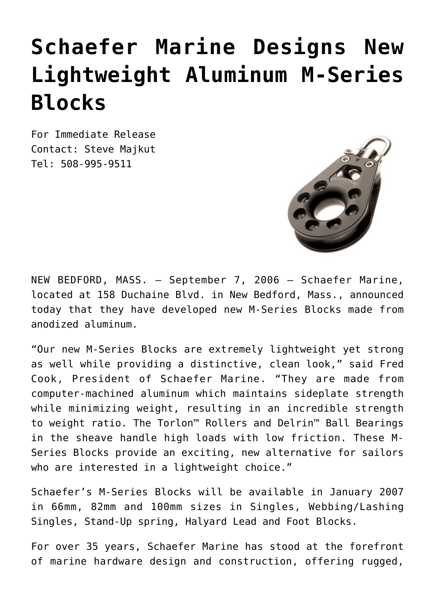## **[Schaefer Marine Designs New](https://www.schaefermarine.com/schaefer-marine-designs-new-lightweight-aluminum-m-series-blocks-new-bedford-mass-september-7-2006/) [Lightweight Aluminum M-Series](https://www.schaefermarine.com/schaefer-marine-designs-new-lightweight-aluminum-m-series-blocks-new-bedford-mass-september-7-2006/) [Blocks](https://www.schaefermarine.com/schaefer-marine-designs-new-lightweight-aluminum-m-series-blocks-new-bedford-mass-september-7-2006/)**

For Immediate Release Contact: Steve Majkut Tel: 508-995-9511



NEW BEDFORD, MASS. – September 7, 2006 – Schaefer Marine, located at 158 Duchaine Blvd. in New Bedford, Mass., announced today that they have developed new M-Series Blocks made from anodized aluminum.

"Our new M-Series Blocks are extremely lightweight yet strong as well while providing a distinctive, clean look," said Fred Cook, President of Schaefer Marine. "They are made from computer-machined aluminum which maintains sideplate strength while minimizing weight, resulting in an incredible strength to weight ratio. The Torlon™ Rollers and Delrin™ Ball Bearings in the sheave handle high loads with low friction. These M-Series Blocks provide an exciting, new alternative for sailors who are interested in a lightweight choice."

Schaefer's M-Series Blocks will be available in January 2007 in 66mm, 82mm and 100mm sizes in Singles, Webbing/Lashing Singles, Stand-Up spring, Halyard Lead and Foot Blocks.

For over 35 years, Schaefer Marine has stood at the forefront of marine hardware design and construction, offering rugged,